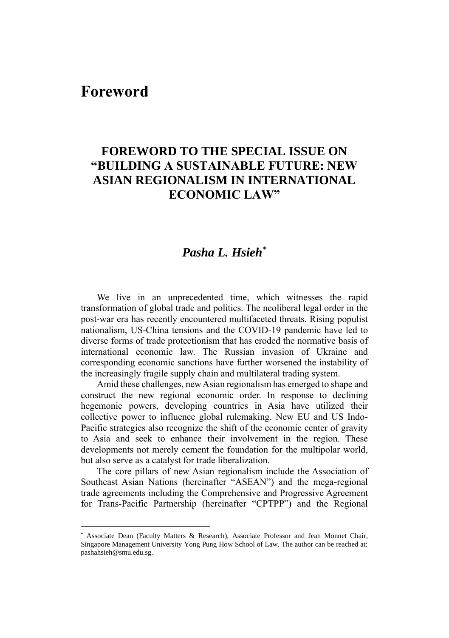## **Foreword**

## **FOREWORD TO THE SPECIAL ISSUE ON "BUILDING A SUSTAINABLE FUTURE: NEW ASIAN REGIONALISM IN INTERNATIONAL ECONOMIC LAW"**

## *Pasha L. Hsieh*\*

We live in an unprecedented time, which witnesses the rapid transformation of global trade and politics. The neoliberal legal order in the post-war era has recently encountered multifaceted threats. Rising populist nationalism, US-China tensions and the COVID-19 pandemic have led to diverse forms of trade protectionism that has eroded the normative basis of international economic law. The Russian invasion of Ukraine and corresponding economic sanctions have further worsened the instability of the increasingly fragile supply chain and multilateral trading system.

Amid these challenges, new Asian regionalism has emerged to shape and construct the new regional economic order. In response to declining hegemonic powers, developing countries in Asia have utilized their collective power to influence global rulemaking. New EU and US Indo-Pacific strategies also recognize the shift of the economic center of gravity to Asia and seek to enhance their involvement in the region. These developments not merely cement the foundation for the multipolar world, but also serve as a catalyst for trade liberalization.

The core pillars of new Asian regionalism include the Association of Southeast Asian Nations (hereinafter "ASEAN") and the mega-regional trade agreements including the Comprehensive and Progressive Agreement for Trans-Pacific Partnership (hereinafter "CPTPP") and the Regional

Associate Dean (Faculty Matters & Research), Associate Professor and Jean Monnet Chair, Singapore Management University Yong Pung How School of Law. The author can be reached at: pashahsieh@smu.edu.sg.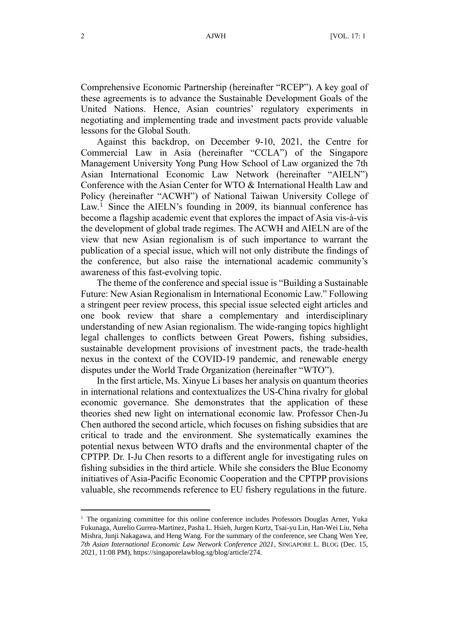Comprehensive Economic Partnership (hereinafter "RCEP"). A key goal of these agreements is to advance the Sustainable Development Goals of the United Nations. Hence, Asian countries' regulatory experiments in negotiating and implementing trade and investment pacts provide valuable lessons for the Global South.

Against this backdrop, on December 9-10, 2021, the Centre for Commercial Law in Asia (hereinafter "CCLA") of the Singapore Management University Yong Pung How School of Law organized the 7th Asian International Economic Law Network (hereinafter "AIELN") Conference with the Asian Center for WTO & International Health Law and Policy (hereinafter "ACWH") of National Taiwan University College of Law.<sup>1</sup> Since the AIELN's founding in 2009, its biannual conference has become a flagship academic event that explores the impact of Asia vis-à-vis the development of global trade regimes. The ACWH and AIELN are of the view that new Asian regionalism is of such importance to warrant the publication of a special issue, which will not only distribute the findings of the conference, but also raise the international academic community's awareness of this fast-evolving topic.

The theme of the conference and special issue is "Building a Sustainable Future: New Asian Regionalism in International Economic Law." Following a stringent peer review process, this special issue selected eight articles and one book review that share a complementary and interdisciplinary understanding of new Asian regionalism. The wide-ranging topics highlight legal challenges to conflicts between Great Powers, fishing subsidies, sustainable development provisions of investment pacts, the trade-health nexus in the context of the COVID-19 pandemic, and renewable energy disputes under the World Trade Organization (hereinafter "WTO").

In the first article, Ms. Xinyue Li bases her analysis on quantum theories in international relations and contextualizes the US-China rivalry for global economic governance. She demonstrates that the application of these theories shed new light on international economic law. Professor Chen-Ju Chen authored the second article, which focuses on fishing subsidies that are critical to trade and the environment. She systematically examines the potential nexus between WTO drafts and the environmental chapter of the CPTPP. Dr. I-Ju Chen resorts to a different angle for investigating rules on fishing subsidies in the third article. While she considers the Blue Economy initiatives of Asia-Pacific Economic Cooperation and the CPTPP provisions valuable, she recommends reference to EU fishery regulations in the future.

 $<sup>1</sup>$  The organizing committee for this online conference includes Professors Douglas Arner, Yuka</sup> Fukunaga, Aurelio Gurrea-Martinez, Pasha L. Hsieh, Jurgen Kurtz, Tsai-yu Lin, Han-Wei Liu, Neha Mishra, Junji Nakagawa, and Heng Wang. For the summary of the conference, see Chang Wen Yee, *7th Asian International Economic Law Network Conference 2021*, SINGAPORE L. BLOG (Dec. 15, 2021, 11:08 PM), https://singaporelawblog.sg/blog/article/274.